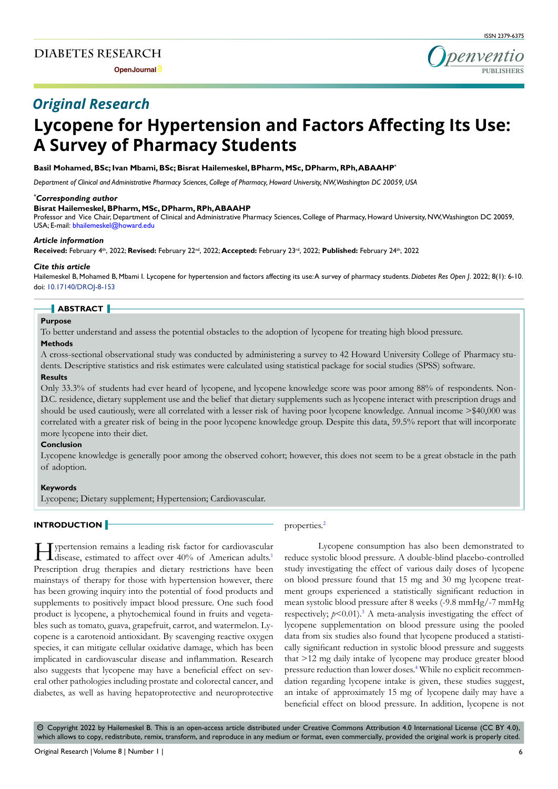**Open Journal**



# *Original Research*

# **Lycopene for Hypertension and Factors Affecting Its Use: A Survey of Pharmacy Students**

# **Basil Mohamed, BSc; Ivan Mbami, BSc; Bisrat Hailemeskel, BPharm, MSc, DPharm, RPh, ABAAHP\***

*Department of Clinical and Administrative Pharmacy Sciences, College of Pharmacy, Howard University, NW, Washington DC 20059, USA*

# *\* Corresponding author*

# **Bisrat Hailemeskel, BPharm, MSc, DPharm, RPh, ABAAHP**

Professor and Vice Chair, Department of Clinical and Administrative Pharmacy Sciences, College of Pharmacy, Howard University, NW, Washington DC 20059, USA; E-mail: bhailemeskel@howard.edu

#### *Article information*

Received: February 4<sup>th</sup>, 2022; Revised: February 22<sup>nd</sup>, 2022; Accepted: February 23<sup>rd</sup>, 2022; Published: February 24<sup>th</sup>, 2022

#### *Cite this article*

Hailemeskel B, Mohamed B, Mbami I. Lycopene for hypertension and factors affecting its use: A survey of pharmacy students. *Diabetes Res Open J*. 2022; 8(1): 6-10. doi: [10.17140/DROJ-8-153](http://dx.doi.org/10.17140/DROJ-8-153)

# **ABSTRACT**

#### **Purpose**

To better understand and assess the potential obstacles to the adoption of lycopene for treating high blood pressure.

#### **Methods**

A cross-sectional observational study was conducted by administering a survey to 42 Howard University College of Pharmacy students. Descriptive statistics and risk estimates were calculated using statistical package for social studies (SPSS) software.

# **Results**

Only 33.3% of students had ever heard of lycopene, and lycopene knowledge score was poor among 88% of respondents. Non-D.C. residence, dietary supplement use and the belief that dietary supplements such as lycopene interact with prescription drugs and should be used cautiously, were all correlated with a lesser risk of having poor lycopene knowledge. Annual income >\$40,000 was correlated with a greater risk of being in the poor lycopene knowledge group. Despite this data, 59.5% report that will incorporate more lycopene into their diet.

# **Conclusion**

Lycopene knowledge is generally poor among the observed cohort; however, this does not seem to be a great obstacle in the path of adoption.

#### **Keywords**

Lycopene; Dietary supplement; Hypertension; Cardiovascular.

#### **INTRODUCTION**

Hypertension remains a leading risk facto[r](#page-3-0) for cardiovascular disease, estimated to affect over 40% of American adults.<sup>1</sup> Prescription drug therapies and dietary restrictions have been mainstays of therapy for those with hypertension however, there has been growing inquiry into the potential of food products and supplements to positively impact blood pressure. One such food product is lycopene, a phytochemical found in fruits and vegetables such as tomato, guava, grapefruit, carrot, and watermelon. Lycopene is a carotenoid antioxidant. By scavenging reactive oxygen species, it can mitigate cellular oxidative damage, which has been implicated in cardiovascular disease and inflammation. Research also suggests that lycopene may have a beneficial effect on several other pathologies including prostate and colorectal cancer, and diabetes, as well as having hepatoprotective and neuroprotective

#### properties.<sup>[2](#page-3-1)</sup>

Lycopene consumption has also been demonstrated to reduce systolic blood pressure. A double-blind placebo-controlled study investigating the effect of various daily doses of lycopene on blood pressure found that 15 mg and 30 mg lycopene treatment groups experienced a statistically significant reduction in mean systolic blood pressure after 8 weeks (-9.8 mmHg/-7 mmHg respectively;  $p < 0.01$ ).<sup>3</sup> A meta-analysis investigating the effect of lycopene supplementation on blood pressure using the pooled data from six studies also found that lycopene produced a statistically significant reduction in systolic blood pressure and suggests that >12 mg daily intake of lycopene may produce greater blood pressure reduction than lower doses.<sup>[4](#page-4-1)</sup> While no explicit recommendation regarding lycopene intake is given, these studies suggest, an intake of approximately 15 mg of lycopene daily may have a beneficial effect on blood pressure. In addition, lycopene is not

 $\circledcirc$  Copyright 2022 by Hailemeskel B. This is an open-access article distributed under Creative Commons Attribution 4.0 International License (CC BY 4.0), which allows to copy, redistribute, remix, transform, and reproduce in any medium or format, even commercially, provided the original work is properly cited.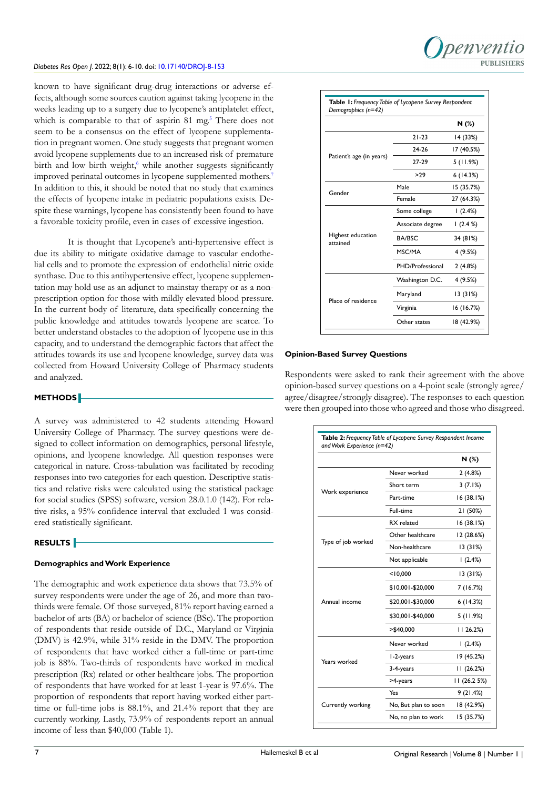

known to have significant drug-drug interactions or adverse effects, although some sources caution against taking lycopene in the weeks leading up to a surgery due to lycopene's antiplatelet effect, which is comparable to that of aspirin 81 mg.<sup>5</sup> There does not seem to be a consensus on the effect of lycopene supplementation in pregnant women. One study suggests that pregnant women avoid lycopene supplements due to an increased risk of premature birth and low birth weight,<sup>6</sup> while another suggests significantly improved perinatal outcomes in lycopene supplemented mothers.<sup>7</sup> In addition to this, it should be noted that no study that examines the effects of lycopene intake in pediatric populations exists. Despite these warnings, lycopene has consistently been found to have a favorable toxicity profile, even in cases of excessive ingestion.

It is thought that Lycopene's anti-hypertensive effect is due its ability to mitigate oxidative damage to vascular endothelial cells and to promote the expression of endothelial nitric oxide synthase. Due to this antihypertensive effect, lycopene supplementation may hold use as an adjunct to mainstay therapy or as a nonprescription option for those with mildly elevated blood pressure. In the current body of literature, data specifically concerning the public knowledge and attitudes towards lycopene are scarce. To better understand obstacles to the adoption of lycopene use in this capacity, and to understand the demographic factors that affect the attitudes towards its use and lycopene knowledge, survey data was collected from Howard University College of Pharmacy students and analyzed.

#### **METHODS**

A survey was administered to 42 students attending Howard University College of Pharmacy. The survey questions were designed to collect information on demographics, personal lifestyle, opinions, and lycopene knowledge. All question responses were categorical in nature. Cross-tabulation was facilitated by recoding responses into two categories for each question. Descriptive statistics and relative risks were calculated using the statistical package for social studies (SPSS) software, version 28.0.1.0 (142). For relative risks, a 95% confidence interval that excluded 1 was considered statistically significant.

#### **RESULTS**

#### **Demographics and Work Experience**

The demographic and work experience data shows that 73.5% of survey respondents were under the age of 26, and more than twothirds were female. Of those surveyed, 81% report having earned a bachelor of arts (BA) or bachelor of science (BSc). The proportion of respondents that reside outside of D.C., Maryland or Virginia (DMV) is 42.9%, while 31% reside in the DMV. The proportion of respondents that have worked either a full-time or part-time job is 88%. Two-thirds of respondents have worked in medical prescription (Rx) related or other healthcare jobs. The proportion of respondents that have worked for at least 1-year is 97.6%. The proportion of respondents that report having worked either parttime or full-time jobs is 88.1%, and 21.4% report that they are currently working. Lastly, 73.9% of respondents report an annual income of less than \$40,000 (Table 1).

|                               |                  | N (%)      |  |
|-------------------------------|------------------|------------|--|
| Patient's age (in years)      | $21 - 23$        | 14 (33%)   |  |
|                               | 24-26            | 17 (40.5%) |  |
|                               | 27-29            | 5(11.9%)   |  |
|                               | >29              | 6(14.3%)   |  |
| Gender                        | Male             | 15 (35.7%) |  |
|                               | Female           | 27 (64.3%) |  |
| Highest education<br>attained | Some college     | 1(2.4%)    |  |
|                               | Associate degree | 1(2.4%)    |  |
|                               | <b>BA/BSC</b>    | 34 (81%)   |  |
|                               | MSC/MA           | 4(9.5%)    |  |
|                               | PHD/Professional | 2(4.8%)    |  |
|                               | Washington D.C.  | 4 (9.5%)   |  |
|                               | Maryland         | 13(31%)    |  |
| Place of residence            | Virginia         | 16(16.7%)  |  |
|                               | Other states     | 18 (42.9%) |  |

#### **Opinion-Based Survey Questions**

Respondents were asked to rank their agreement with the above opinion-based survey questions on a 4-point scale (strongly agree/ agree/disagree/strongly disagree). The responses to each question were then grouped into those who agreed and those who disagreed.

|                    |                      | N(%)         |
|--------------------|----------------------|--------------|
|                    | Never worked         | 2(4.8%)      |
| Work experience    | Short term           | 3(7.1%)      |
|                    | Part-time            | 16(38.1%)    |
|                    | Full-time            | 21 (50%)     |
| Type of job worked | RX related           | 16(38.1%)    |
|                    | Other healthcare     | 12 (28.6%)   |
|                    | Non-healthcare       | 13(31%)      |
|                    | Not applicable       | 1(2.4%)      |
| Annual income      | < 10,000             | 13(31%)      |
|                    | \$10,001-\$20,000    | 7 (16.7%)    |
|                    | \$20,001-\$30,000    | 6(14.3%)     |
|                    | \$30,001-\$40,000    | 5(11.9%)     |
|                    | $>$ \$40,000         | 1126.2%      |
| Years worked       | Never worked         | (2.4%)       |
|                    | I-2-years            | 19 (45.2%)   |
|                    | 3-4-years            | 11(26.2%)    |
|                    | >4-years             | 11 (26.2 5%) |
|                    | Yes                  | 9(21.4%)     |
| Currently working  | No, But plan to soon | 18 (42.9%)   |
|                    | No, no plan to work  | 15 (35.7%)   |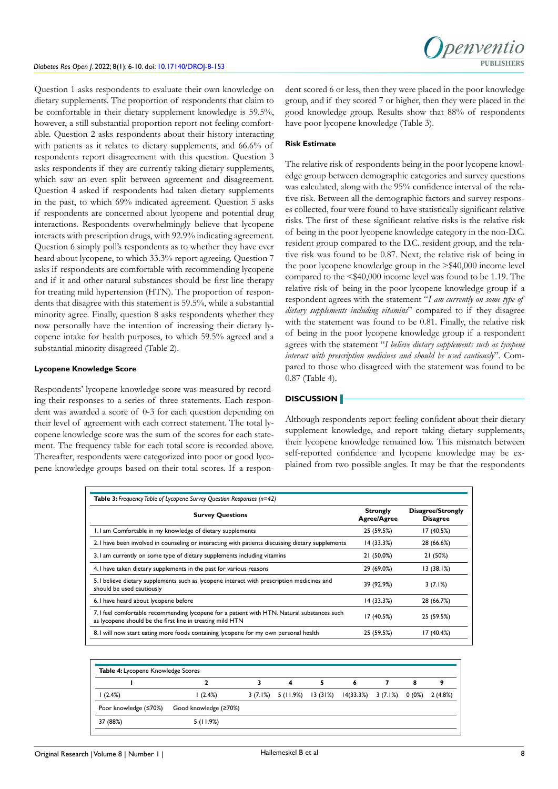Question 1 asks respondents to evaluate their own knowledge on dietary supplements. The proportion of respondents that claim to be comfortable in their dietary supplement knowledge is 59.5%, however, a still substantial proportion report not feeling comfortable. Question 2 asks respondents about their history interacting with patients as it relates to dietary supplements, and 66.6% of respondents report disagreement with this question. Question 3 asks respondents if they are currently taking dietary supplements, which saw an even split between agreement and disagreement. Question 4 asked if respondents had taken dietary supplements in the past, to which 69% indicated agreement. Question 5 asks if respondents are concerned about lycopene and potential drug interactions. Respondents overwhelmingly believe that lycopene interacts with prescription drugs, with 92.9% indicating agreement. Question 6 simply poll's respondents as to whether they have ever heard about lycopene, to which 33.3% report agreeing. Question 7 asks if respondents are comfortable with recommending lycopene and if it and other natural substances should be first line therapy for treating mild hypertension (HTN). The proportion of respondents that disagree with this statement is 59.5%, while a substantial minority agree. Finally, question 8 asks respondents whether they now personally have the intention of increasing their dietary lycopene intake for health purposes, to which 59.5% agreed and a substantial minority disagreed (Table 2).

#### **Lycopene Knowledge Score**

Respondents' lycopene knowledge score was measured by recording their responses to a series of three statements. Each respondent was awarded a score of 0-3 for each question depending on their level of agreement with each correct statement. The total lycopene knowledge score was the sum of the scores for each statement. The frequency table for each total score is recorded above. Thereafter, respondents were categorized into poor or good lycopene knowledge groups based on their total scores. If a respondent scored 6 or less, then they were placed in the poor knowledge group, and if they scored 7 or higher, then they were placed in the good knowledge group. Results show that 88% of respondents have poor lycopene knowledge (Table 3).

#### **Risk Estimate**

The relative risk of respondents being in the poor lycopene knowledge group between demographic categories and survey questions was calculated, along with the 95% confidence interval of the relative risk. Between all the demographic factors and survey responses collected, four were found to have statistically significant relative risks. The first of these significant relative risks is the relative risk of being in the poor lycopene knowledge category in the non-D.C. resident group compared to the D.C. resident group, and the relative risk was found to be 0.87. Next, the relative risk of being in the poor lycopene knowledge group in the >\$40,000 income level compared to the <\$40,000 income level was found to be 1.19. The relative risk of being in the poor lycopene knowledge group if a respondent agrees with the statement "*I am currently on some type of dietary supplements including vitamins*" compared to if they disagree with the statement was found to be 0.81. Finally, the relative risk of being in the poor lycopene knowledge group if a respondent agrees with the statement "*I believe dietary supplements such as lycopene interact with prescription medicines and should be used cautiously*". Compared to those who disagreed with the statement was found to be 0.87 (Table 4).

#### **DISCUSSION**

Although respondents report feeling confident about their dietary supplement knowledge, and report taking dietary supplements, their lycopene knowledge remained low. This mismatch between self-reported confidence and lycopene knowledge may be explained from two possible angles. It may be that the respondents

| <b>Survey Questions</b>                                                                                                                                  | <b>Strongly</b><br><b>Agree/Agree</b> | Disagree/Strongly<br><b>Disagree</b> |  |  |
|----------------------------------------------------------------------------------------------------------------------------------------------------------|---------------------------------------|--------------------------------------|--|--|
| 1.1 am Comfortable in my knowledge of dietary supplements                                                                                                | 25 (59.5%)                            | 17 (40.5%)                           |  |  |
| 2. I have been involved in counseling or interacting with patients discussing dietary supplements                                                        | 14 (33.3%)                            | 28 (66.6%)                           |  |  |
| 3.1 am currently on some type of dietary supplements including vitamins                                                                                  | 21 (50.0%)                            | 21 (50%)                             |  |  |
| 4. I have taken dietary supplements in the past for various reasons                                                                                      | 29 (69.0%)                            | 13(38.1%)                            |  |  |
| 5. I believe dietary supplements such as lycopene interact with prescription medicines and<br>should be used cautiously                                  | 39 (92.9%)                            | 3(7.1%)                              |  |  |
| 6. I have heard about lycopene before                                                                                                                    | 14(33.3%)                             | 28 (66.7%)                           |  |  |
| 7. I feel comfortable recommending lycopene for a patient with HTN. Natural substances such<br>as lycopene should be the first line in treating mild HTN | 17 (40.5%)                            | 25 (59.5%)                           |  |  |
| 8. I will now start eating more foods containing lycopene for my own personal health                                                                     | 25 (59.5%)                            | 17 (40.4%)                           |  |  |

| <b>Table 4:</b> Lycopene Knowledge Scores |                       |  |   |   |                                                                 |  |   |  |
|-------------------------------------------|-----------------------|--|---|---|-----------------------------------------------------------------|--|---|--|
|                                           |                       |  | 4 | 5 | 6                                                               |  | 8 |  |
| (2.4%)                                    | (2.4%)                |  |   |   | 3 (7.1%) 5 (11.9%) 13 (31%) 14 (33.3%) 3 (7.1%) 0 (0%) 2 (4.8%) |  |   |  |
| Poor knowledge (≤70%)                     | Good knowledge (≥70%) |  |   |   |                                                                 |  |   |  |
| 37 (88%)                                  | 5(11.9%)              |  |   |   |                                                                 |  |   |  |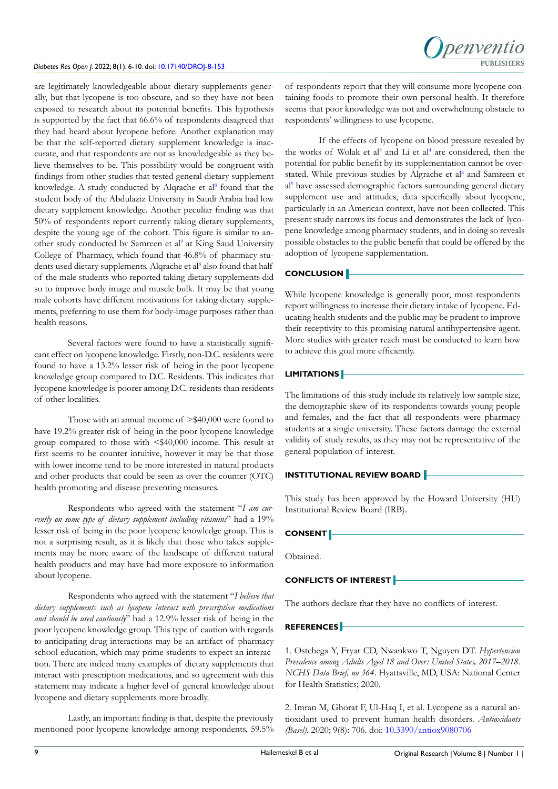are legitimately knowledgeable about dietary supplements generally, but that lycopene is too obscure, and so they have not been exposed to research about its potential benefits. This hypothesis is supported by the fact that 66.6% of respondents disagreed that they had heard about lycopene before. Another explanation may be that the self-reported dietary supplement knowledge is inaccurate, and that respondents are not as knowledgeable as they believe themselves to be. This possibility would be congruent with findings from other studies that tested general dietary supplement knowledge. A study conducted by Alqrache et al<sup>[8](#page-4-5)</sup> found that the student body of the Abdulaziz University in Saudi Arabia had low dietary supplement knowledge. Another peculiar finding was that 50% of respondents report currently taking dietary supplements, despite the young age of the cohort. This figure is similar to an-other study conducted by Samreen et al<sup>[9](#page-4-6)</sup> at King Saud University College of Pharmacy, which found that 46.8% of pharmacy stu-dents used dietary supplements. Alqrache et al<sup>[8](#page-4-5)</sup> also found that half of the male students who reported taking dietary supplements did so to improve body image and muscle bulk. It may be that young male cohorts have different motivations for taking dietary supplements, preferring to use them for body-image purposes rather than health reasons.

Several factors were found to have a statistically significant effect on lycopene knowledge. Firstly, non-D.C. residents were found to have a 13.2% lesser risk of being in the poor lycopene knowledge group compared to D.C. Residents. This indicates that lycopene knowledge is poorer among D.C. residents than residents of other localities.

Those with an annual income of >\$40,000 were found to have 19.2% greater risk of being in the poor lycopene knowledge group compared to those with <\$40,000 income. This result at first seems to be counter intuitive, however it may be that those with lower income tend to be more interested in natural products and other products that could be seen as over the counter (OTC) health promoting and disease preventing measures.

Respondents who agreed with the statement "*I am currently on some type of dietary supplement including vitamins*" had a 19% lesser risk of being in the poor lycopene knowledge group. This is not a surprising result, as it is likely that those who takes supplements may be more aware of the landscape of different natural health products and may have had more exposure to information about lycopene.

Respondents who agreed with the statement "*I believe that dietary supplements such as lycopene interact with prescription medications and should be used cautiously*" had a 12.9% lesser risk of being in the poor lycopene knowledge group. This type of caution with regards to anticipating drug interactions may be an artifact of pharmacy school education, which may prime students to expect an interaction. There are indeed many examples of dietary supplements that interact with prescription medications, and so agreement with this statement may indicate a higher level of general knowledge about lycopene and dietary supplements more broadly.

Lastly, an important finding is that, despite the previously mentioned poor lycopene knowledge among respondents, 59.5% of respondents report that they will consume more lycopene containing foods to promote their own personal health. It therefore seems that poor knowledge was not and overwhelming obstacle to respondents' willingness to use lycopene.

If the effects of lycopene on blood pressure revealed by the works of Wolak et al<sup>[3](#page-4-0)</sup> and Li et al<sup>4</sup> are considered, then the potential for public benefit by its supplementation cannot be overstated. While previous studies by Algrache et al<sup>8</sup> and Samreen et al<sup>9</sup> have assessed demographic factors surrounding general dietary supplement use and attitudes, data specifically about lycopene, particularly in an American context, have not been collected. This present study narrows its focus and demonstrates the lack of lycopene knowledge among pharmacy students, and in doing so reveals possible obstacles to the public benefit that could be offered by the adoption of lycopene supplementation.

# **CONCLUSION**

While lycopene knowledge is generally poor, most respondents report willingness to increase their dietary intake of lycopene. Educating health students and the public may be prudent to improve their receptivity to this promising natural antihypertensive agent. More studies with greater reach must be conducted to learn how to achieve this goal more efficiently.

# **LIMITATIONS**

The limitations of this study include its relatively low sample size, the demographic skew of its respondents towards young people and females, and the fact that all respondents were pharmacy students at a single university. These factors damage the external validity of study results, as they may not be representative of the general population of interest.

# **INSTITUTIONAL REVIEW BOARD**

This study has been approved by the Howard University (HU) Institutional Review Board (IRB).

# **CONSENT**

Obtained.

# **CONFLICTS OF INTEREST**

The authors declare that they have no conflicts of interest.

# **REFERENCES**

<span id="page-3-0"></span>1. Ostchega Y, Fryar CD, Nwankwo T, Nguyen DT. *Hypertension Prevalence among Adults Aged 18 and Over: United States, 2017–2018. NCHS Data Brief, no 364*. Hyattsville, MD, USA: National Center for Health Statistics; 2020.

<span id="page-3-1"></span>2. Imran M, Ghorat F, Ul-Haq I, et al. Lycopene as a natural antioxidant used to prevent human health disorders. *Antioxidants (Basel)*. 2020; 9(8): 706. doi: [10.3390/antiox9080706](http://doi.org/10.3390/antiox9080706)